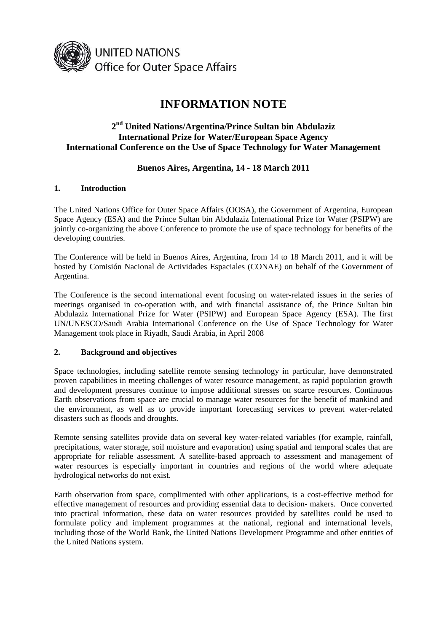

# **INFORMATION NOTE**

## **2nd United Nations/Argentina/Prince Sultan bin Abdulaziz International Prize for Water/European Space Agency International Conference on the Use of Space Technology for Water Management**

## **Buenos Aires, Argentina, 14 - 18 March 2011**

#### **1. Introduction**

The United Nations Office for Outer Space Affairs (OOSA), the Government of Argentina, European Space Agency (ESA) and the Prince Sultan bin Abdulaziz International Prize for Water (PSIPW) are jointly co-organizing the above Conference to promote the use of space technology for benefits of the developing countries.

The Conference will be held in Buenos Aires, Argentina, from 14 to 18 March 2011, and it will be hosted by Comisión Nacional de Actividades Espaciales (CONAE) on behalf of the Government of Argentina.

The Conference is the second international event focusing on water-related issues in the series of meetings organised in co-operation with, and with financial assistance of, the Prince Sultan bin Abdulaziz International Prize for Water (PSIPW) and European Space Agency (ESA). The first UN/UNESCO/Saudi Arabia International Conference on the Use of Space Technology for Water Management took place in Riyadh, Saudi Arabia, in April 2008

## **2. Background and objectives**

Space technologies, including satellite remote sensing technology in particular, have demonstrated proven capabilities in meeting challenges of water resource management, as rapid population growth and development pressures continue to impose additional stresses on scarce resources. Continuous Earth observations from space are crucial to manage water resources for the benefit of mankind and the environment, as well as to provide important forecasting services to prevent water-related disasters such as floods and droughts.

Remote sensing satellites provide data on several key water-related variables (for example, rainfall, precipitations, water storage, soil moisture and evaporation) using spatial and temporal scales that are appropriate for reliable assessment. A satellite-based approach to assessment and management of water resources is especially important in countries and regions of the world where adequate hydrological networks do not exist.

Earth observation from space, complimented with other applications, is a cost-effective method for effective management of resources and providing essential data to decision- makers. Once converted into practical information, these data on water resources provided by satellites could be used to formulate policy and implement programmes at the national, regional and international levels, including those of the World Bank, the United Nations Development Programme and other entities of the United Nations system.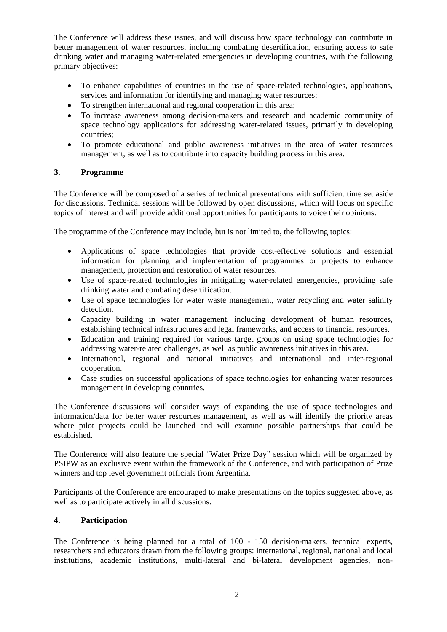The Conference will address these issues, and will discuss how space technology can contribute in better management of water resources, including combating desertification, ensuring access to safe drinking water and managing water-related emergencies in developing countries, with the following primary objectives:

- To enhance capabilities of countries in the use of space-related technologies, applications, services and information for identifying and managing water resources;
- To strengthen international and regional cooperation in this area;
- To increase awareness among decision-makers and research and academic community of space technology applications for addressing water-related issues, primarily in developing countries;
- To promote educational and public awareness initiatives in the area of water resources management, as well as to contribute into capacity building process in this area.

## **3. Programme**

The Conference will be composed of a series of technical presentations with sufficient time set aside for discussions. Technical sessions will be followed by open discussions, which will focus on specific topics of interest and will provide additional opportunities for participants to voice their opinions.

The programme of the Conference may include, but is not limited to, the following topics:

- Applications of space technologies that provide cost-effective solutions and essential information for planning and implementation of programmes or projects to enhance management, protection and restoration of water resources.
- Use of space-related technologies in mitigating water-related emergencies, providing safe drinking water and combating desertification.
- Use of space technologies for water waste management, water recycling and water salinity detection.
- Capacity building in water management, including development of human resources, establishing technical infrastructures and legal frameworks, and access to financial resources.
- Education and training required for various target groups on using space technologies for addressing water-related challenges, as well as public awareness initiatives in this area.
- International, regional and national initiatives and international and inter-regional cooperation.
- Case studies on successful applications of space technologies for enhancing water resources management in developing countries.

The Conference discussions will consider ways of expanding the use of space technologies and information/data for better water resources management, as well as will identify the priority areas where pilot projects could be launched and will examine possible partnerships that could be established.

The Conference will also feature the special "Water Prize Day" session which will be organized by PSIPW as an exclusive event within the framework of the Conference, and with participation of Prize winners and top level government officials from Argentina.

Participants of the Conference are encouraged to make presentations on the topics suggested above, as well as to participate actively in all discussions.

#### **4. Participation**

The Conference is being planned for a total of 100 - 150 decision-makers, technical experts, researchers and educators drawn from the following groups: international, regional, national and local institutions, academic institutions, multi-lateral and bi-lateral development agencies, non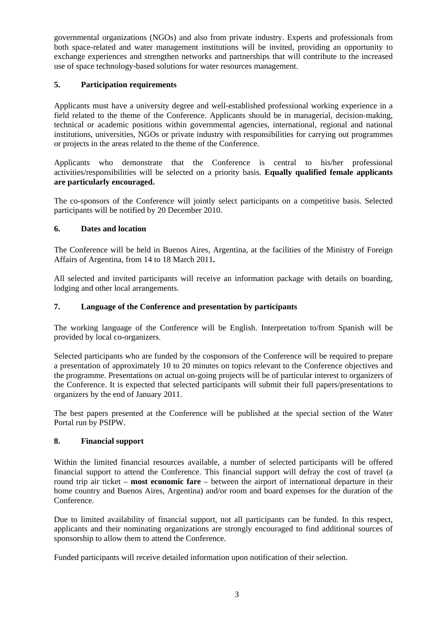governmental organizations (NGOs) and also from private industry. Experts and professionals from both space-related and water management institutions will be invited, providing an opportunity to exchange experiences and strengthen networks and partnerships that will contribute to the increased use of space technology-based solutions for water resources management.

## **5. Participation requirements**

Applicants must have a university degree and well-established professional working experience in a field related to the theme of the Conference. Applicants should be in managerial, decision-making, technical or academic positions within governmental agencies, international, regional and national institutions, universities, NGOs or private industry with responsibilities for carrying out programmes or projects in the areas related to the theme of the Conference.

Applicants who demonstrate that the Conference is central to his/her professional activities/responsibilities will be selected on a priority basis. **Equally qualified female applicants are particularly encouraged.** 

The co-sponsors of the Conference will jointly select participants on a competitive basis. Selected participants will be notified by 20 December 2010.

## **6. Dates and location**

The Conference will be held in Buenos Aires, Argentina, at the facilities of the Ministry of Foreign Affairs of Argentina, from 14 to 18 March 2011**.**

All selected and invited participants will receive an information package with details on boarding, lodging and other local arrangements.

## **7. Language of the Conference and presentation by participants**

The working language of the Conference will be English. Interpretation to/from Spanish will be provided by local co-organizers.

Selected participants who are funded by the cosponsors of the Conference will be required to prepare a presentation of approximately 10 to 20 minutes on topics relevant to the Conference objectives and the programme. Presentations on actual on-going projects will be of particular interest to organizers of the Conference. It is expected that selected participants will submit their full papers/presentations to organizers by the end of January 2011.

The best papers presented at the Conference will be published at the special section of the Water Portal run by PSIPW.

## **8. Financial support**

Within the limited financial resources available, a number of selected participants will be offered financial support to attend the Conference. This financial support will defray the cost of travel (a round trip air ticket – **most economic fare** – between the airport of international departure in their home country and Buenos Aires, Argentina) and/or room and board expenses for the duration of the Conference.

Due to limited availability of financial support, not all participants can be funded. In this respect, applicants and their nominating organizations are strongly encouraged to find additional sources of sponsorship to allow them to attend the Conference.

Funded participants will receive detailed information upon notification of their selection.